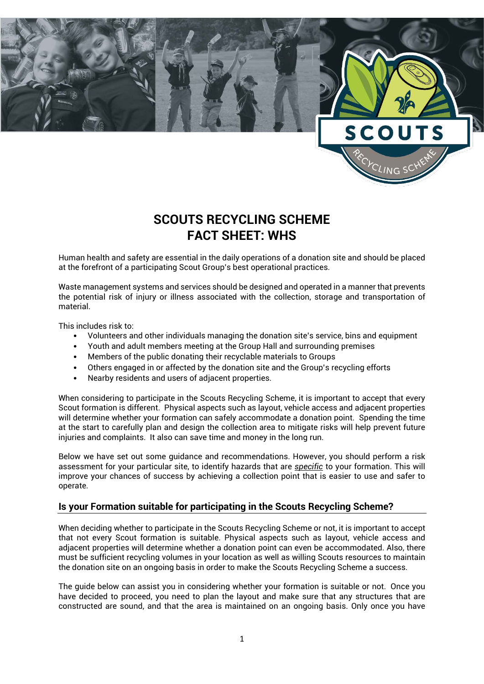

# **SCOUTS RECYCLING SCHEME FACT SHEET: WHS**

Human health and safety are essential in the daily operations of a donation site and should be placed at the forefront of a participating Scout Group's best operational practices.

Waste management systems and services should be designed and operated in a manner that prevents the potential risk of injury or illness associated with the collection, storage and transportation of material.

This includes risk to:

- Volunteers and other individuals managing the donation site's service, bins and equipment
- Youth and adult members meeting at the Group Hall and surrounding premises
- Members of the public donating their recyclable materials to Groups
- Others engaged in or affected by the donation site and the Group's recycling efforts
- Nearby residents and users of adjacent properties.

When considering to participate in the Scouts Recycling Scheme, it is important to accept that every Scout formation is different. Physical aspects such as layout, vehicle access and adjacent properties will determine whether your formation can safely accommodate a donation point. Spending the time at the start to carefully plan and design the collection area to mitigate risks will help prevent future injuries and complaints. It also can save time and money in the long run.

Below we have set out some guidance and recommendations. However, you should perform a risk assessment for your particular site, to identify hazards that are *specific* to your formation. This will improve your chances of success by achieving a collection point that is easier to use and safer to operate.

# **Is your Formation suitable for participating in the Scouts Recycling Scheme?**

When deciding whether to participate in the Scouts Recycling Scheme or not, it is important to accept that not every Scout formation is suitable. Physical aspects such as layout, vehicle access and adjacent properties will determine whether a donation point can even be accommodated. Also, there must be sufficient recycling volumes in your location as well as willing Scouts resources to maintain the donation site on an ongoing basis in order to make the Scouts Recycling Scheme a success.

The guide below can assist you in considering whether your formation is suitable or not. Once you have decided to proceed, you need to plan the layout and make sure that any structures that are constructed are sound, and that the area is maintained on an ongoing basis. Only once you have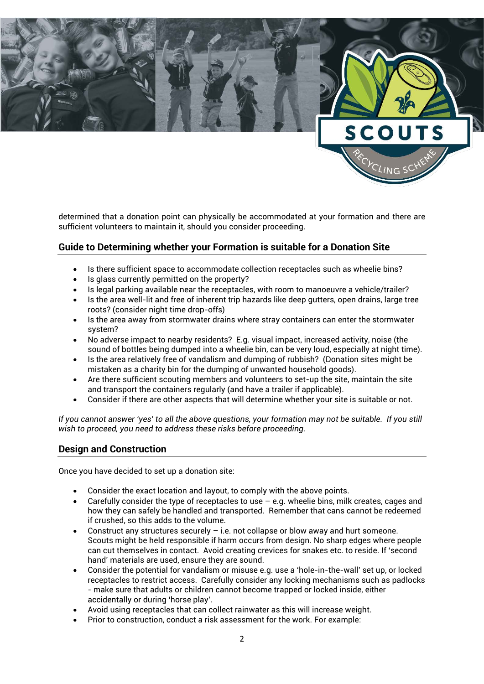

determined that a donation point can physically be accommodated at your formation and there are sufficient volunteers to maintain it, should you consider proceeding.

# **Guide to Determining whether your Formation is suitable for a Donation Site**

- Is there sufficient space to accommodate collection receptacles such as wheelie bins?
- Is glass currently permitted on the property?
- Is legal parking available near the receptacles, with room to manoeuvre a vehicle/trailer?
- Is the area well-lit and free of inherent trip hazards like deep gutters, open drains, large tree roots? (consider night time drop-offs)
- Is the area away from stormwater drains where stray containers can enter the stormwater system?
- No adverse impact to nearby residents? E.g. visual impact, increased activity, noise (the sound of bottles being dumped into a wheelie bin, can be very loud, especially at night time).
- Is the area relatively free of vandalism and dumping of rubbish? (Donation sites might be mistaken as a charity bin for the dumping of unwanted household goods).
- Are there sufficient scouting members and volunteers to set-up the site, maintain the site and transport the containers regularly (and have a trailer if applicable).
- Consider if there are other aspects that will determine whether your site is suitable or not.

*If you cannot answer 'yes' to all the above questions, your formation may not be suitable. If you still wish to proceed, you need to address these risks before proceeding.*

# **Design and Construction**

Once you have decided to set up a donation site:

- Consider the exact location and layout, to comply with the above points.
- Carefully consider the type of receptacles to use  $-$  e.g. wheelie bins, milk creates, cages and how they can safely be handled and transported. Remember that cans cannot be redeemed if crushed, so this adds to the volume.
- Construct any structures securely  $-$  i.e. not collapse or blow away and hurt someone. Scouts might be held responsible if harm occurs from design. No sharp edges where people can cut themselves in contact. Avoid creating crevices for snakes etc. to reside. If 'second hand' materials are used, ensure they are sound.
- Consider the potential for vandalism or misuse e.g. use a 'hole-in-the-wall' set up, or locked receptacles to restrict access. Carefully consider any locking mechanisms such as padlocks - make sure that adults or children cannot become trapped or locked inside, either accidentally or during 'horse play'.
- Avoid using receptacles that can collect rainwater as this will increase weight.
- Prior to construction, conduct a risk assessment for the work. For example: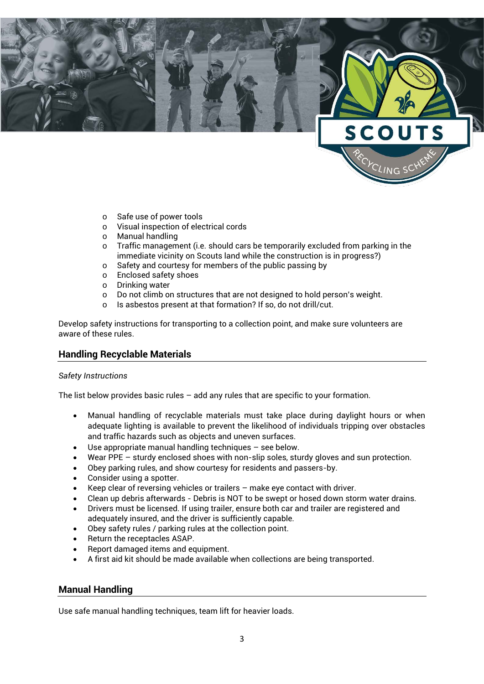

- o Safe use of power tools
- o Visual inspection of electrical cords
- Manual handling
- $\circ$  Traffic management (i.e. should cars be temporarily excluded from parking in the immediate vicinity on Scouts land while the construction is in progress?)
- o Safety and courtesy for members of the public passing by
- o Enclosed safety shoes
- o Drinking water
- o Do not climb on structures that are not designed to hold person's weight.<br>  $\circ$  Is asbestos present at that formation? If so, do not drill/cut.
- Is asbestos present at that formation? If so, do not drill/cut.

Develop safety instructions for transporting to a collection point, and make sure volunteers are aware of these rules.

### **Handling Recyclable Materials**

#### *Safety Instructions*

The list below provides basic rules  $-$  add any rules that are specific to your formation.

- Manual handling of recyclable materials must take place during daylight hours or when adequate lighting is available to prevent the likelihood of individuals tripping over obstacles and traffic hazards such as objects and uneven surfaces.
- Use appropriate manual handling techniques  $-$  see below.
- Wear PPE sturdy enclosed shoes with non-slip soles, sturdy gloves and sun protection.
- Obey parking rules, and show courtesy for residents and passers-by.
- Consider using a spotter.
- Keep clear of reversing vehicles or trailers make eye contact with driver.
- Clean up debris afterwards Debris is NOT to be swept or hosed down storm water drains.
- Drivers must be licensed. If using trailer, ensure both car and trailer are registered and adequately insured, and the driver is sufficiently capable.
- Obey safety rules / parking rules at the collection point.
- Return the receptacles ASAP.
- Report damaged items and equipment.
- A first aid kit should be made available when collections are being transported.

### **Manual Handling**

Use safe manual handling techniques, team lift for heavier loads.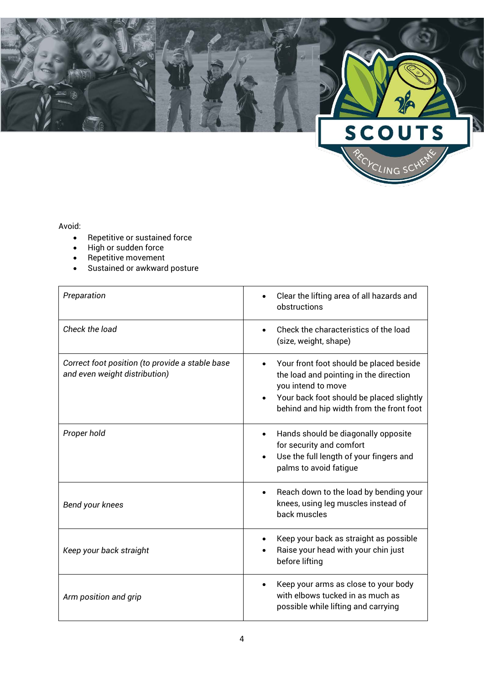

## Avoid:

- Repetitive or sustained force
- High or sudden force
- Repetitive movement
- Sustained or awkward posture

| Preparation                                                                      | Clear the lifting area of all hazards and<br>obstructions                                                                                                                                                    |
|----------------------------------------------------------------------------------|--------------------------------------------------------------------------------------------------------------------------------------------------------------------------------------------------------------|
| Check the load                                                                   | Check the characteristics of the load<br>(size, weight, shape)                                                                                                                                               |
| Correct foot position (to provide a stable base<br>and even weight distribution) | Your front foot should be placed beside<br>$\bullet$<br>the load and pointing in the direction<br>you intend to move<br>Your back foot should be placed slightly<br>behind and hip width from the front foot |
| Proper hold                                                                      | Hands should be diagonally opposite<br>$\bullet$<br>for security and comfort<br>Use the full length of your fingers and<br>palms to avoid fatigue                                                            |
| Bend your knees                                                                  | Reach down to the load by bending your<br>$\bullet$<br>knees, using leg muscles instead of<br>back muscles                                                                                                   |
| Keep your back straight                                                          | Keep your back as straight as possible<br>Raise your head with your chin just<br>before lifting                                                                                                              |
| Arm position and grip                                                            | Keep your arms as close to your body<br>with elbows tucked in as much as<br>possible while lifting and carrying                                                                                              |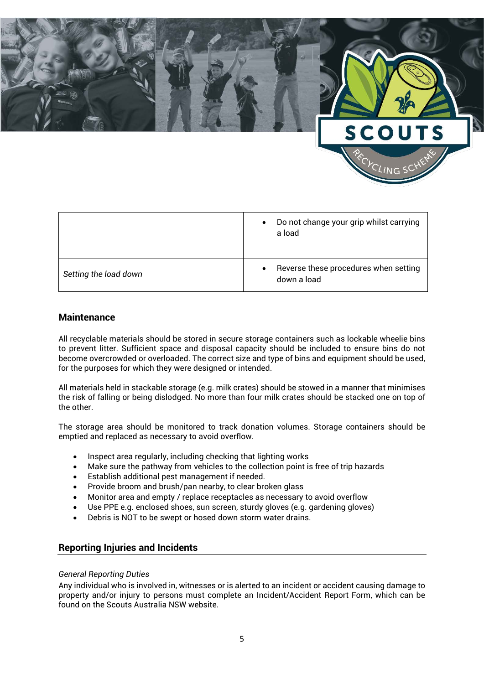

|                       | Do not change your grip whilst carrying<br>$\bullet$<br>a load    |
|-----------------------|-------------------------------------------------------------------|
| Setting the load down | Reverse these procedures when setting<br>$\bullet$<br>down a load |

# **Maintenance**

All recyclable materials should be stored in secure storage containers such as lockable wheelie bins to prevent litter. Sufficient space and disposal capacity should be included to ensure bins do not become overcrowded or overloaded. The correct size and type of bins and equipment should be used, for the purposes for which they were designed or intended.

All materials held in stackable storage (e.g. milk crates) should be stowed in a manner that minimises the risk of falling or being dislodged. No more than four milk crates should be stacked one on top of the other.

The storage area should be monitored to track donation volumes. Storage containers should be emptied and replaced as necessary to avoid overflow.

- Inspect area regularly, including checking that lighting works
- Make sure the pathway from vehicles to the collection point is free of trip hazards
- Establish additional pest management if needed.
- Provide broom and brush/pan nearby, to clear broken glass
- Monitor area and empty / replace receptacles as necessary to avoid overflow
- Use PPE e.g. enclosed shoes, sun screen, sturdy gloves (e.g. gardening gloves)
- Debris is NOT to be swept or hosed down storm water drains.

# **Reporting Injuries and Incidents**

### *General Reporting Duties*

Any individual who is involved in, witnesses or is alerted to an incident or accident causing damage to property and/or injury to persons must complete an Incident/Accident Report Form, which can be found on the Scouts Australia NSW website.